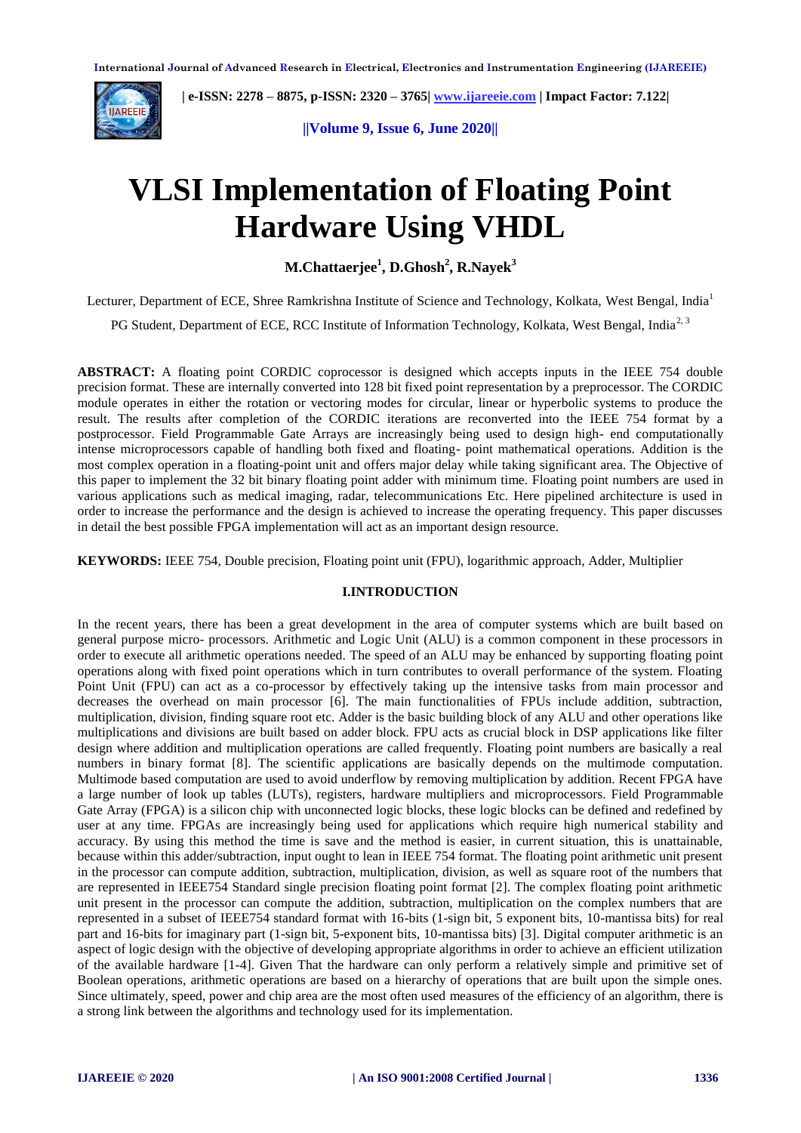

 **| e-ISSN: 2278 – 8875, p-ISSN: 2320 – 3765[| www.ijareeie.com](http://www.ijareeie.com/) | Impact Factor: 7.122|** 

**||Volume 9, Issue 6, June 2020||** 

# **VLSI Implementation of Floating Point Hardware Using VHDL**

**M.Chattaerjee<sup>1</sup> , D.Ghosh<sup>2</sup> , R.Nayek<sup>3</sup>**

Lecturer, Department of ECE, Shree Ramkrishna Institute of Science and Technology, Kolkata, West Bengal, India<sup>1</sup>

PG Student, Department of ECE, RCC Institute of Information Technology, Kolkata, West Bengal, India<sup>2, 3</sup>

**ABSTRACT:** A floating point CORDIC coprocessor is designed which accepts inputs in the IEEE 754 double precision format. These are internally converted into 128 bit fixed point representation by a preprocessor. The CORDIC module operates in either the rotation or vectoring modes for circular, linear or hyperbolic systems to produce the result. The results after completion of the CORDIC iterations are reconverted into the IEEE 754 format by a postprocessor. Field Programmable Gate Arrays are increasingly being used to design high- end computationally intense microprocessors capable of handling both fixed and floating- point mathematical operations. Addition is the most complex operation in a floating-point unit and offers major delay while taking significant area. The Objective of this paper to implement the 32 bit binary floating point adder with minimum time. Floating point numbers are used in various applications such as medical imaging, radar, telecommunications Etc. Here pipelined architecture is used in order to increase the performance and the design is achieved to increase the operating frequency. This paper discusses in detail the best possible FPGA implementation will act as an important design resource.

**KEYWORDS:** IEEE 754, Double precision, Floating point unit (FPU), logarithmic approach, Adder, Multiplier

#### **I.INTRODUCTION**

In the recent years, there has been a great development in the area of computer systems which are built based on general purpose micro- processors. Arithmetic and Logic Unit (ALU) is a common component in these processors in order to execute all arithmetic operations needed. The speed of an ALU may be enhanced by supporting floating point operations along with fixed point operations which in turn contributes to overall performance of the system. Floating Point Unit (FPU) can act as a co-processor by effectively taking up the intensive tasks from main processor and decreases the overhead on main processor [6]. The main functionalities of FPUs include addition, subtraction, multiplication, division, finding square root etc. Adder is the basic building block of any ALU and other operations like multiplications and divisions are built based on adder block. FPU acts as crucial block in DSP applications like filter design where addition and multiplication operations are called frequently. Floating point numbers are basically a real numbers in binary format [8]. The scientific applications are basically depends on the multimode computation. Multimode based computation are used to avoid underflow by removing multiplication by addition. Recent FPGA have a large number of look up tables (LUTs), registers, hardware multipliers and microprocessors. Field Programmable Gate Array (FPGA) is a silicon chip with unconnected logic blocks, these logic blocks can be defined and redefined by user at any time. FPGAs are increasingly being used for applications which require high numerical stability and accuracy. By using this method the time is save and the method is easier, in current situation, this is unattainable, because within this adder/subtraction, input ought to lean in IEEE 754 format. The floating point arithmetic unit present in the processor can compute addition, subtraction, multiplication, division, as well as square root of the numbers that are represented in IEEE754 Standard single precision floating point format [2]. The complex floating point arithmetic unit present in the processor can compute the addition, subtraction, multiplication on the complex numbers that are represented in a subset of IEEE754 standard format with 16-bits (1-sign bit, 5 exponent bits, 10-mantissa bits) for real part and 16-bits for imaginary part (1-sign bit, 5-exponent bits, 10-mantissa bits) [3]. Digital computer arithmetic is an aspect of logic design with the objective of developing appropriate algorithms in order to achieve an efficient utilization of the available hardware [1-4]. Given That the hardware can only perform a relatively simple and primitive set of Boolean operations, arithmetic operations are based on a hierarchy of operations that are built upon the simple ones. Since ultimately, speed, power and chip area are the most often used measures of the efficiency of an algorithm, there is a strong link between the algorithms and technology used for its implementation.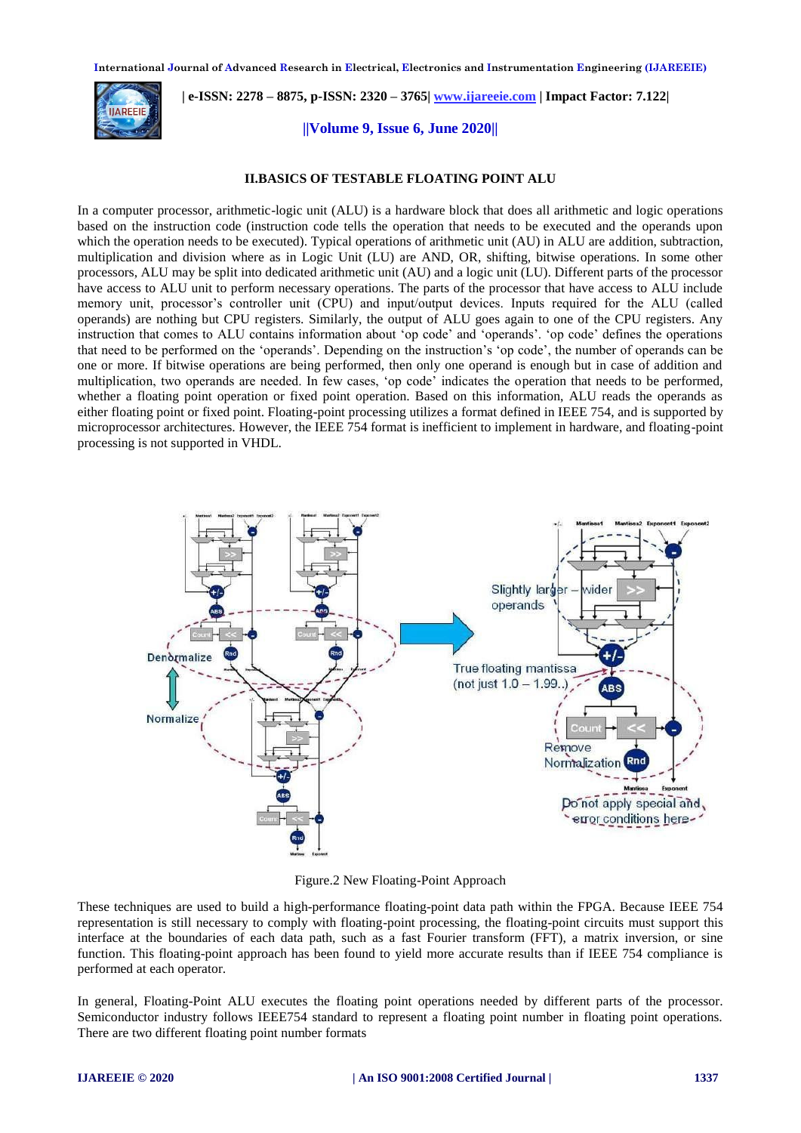

 **| e-ISSN: 2278 – 8875, p-ISSN: 2320 – 3765[| www.ijareeie.com](http://www.ijareeie.com/) | Impact Factor: 7.122|** 

**||Volume 9, Issue 6, June 2020||** 

#### **II.BASICS OF TESTABLE FLOATING POINT ALU**

In a computer processor, arithmetic-logic unit (ALU) is a hardware block that does all arithmetic and logic operations based on the instruction code (instruction code tells the operation that needs to be executed and the operands upon which the operation needs to be executed). Typical operations of arithmetic unit (AU) in ALU are addition, subtraction, multiplication and division where as in Logic Unit (LU) are AND, OR, shifting, bitwise operations. In some other processors, ALU may be split into dedicated arithmetic unit (AU) and a logic unit (LU). Different parts of the processor have access to ALU unit to perform necessary operations. The parts of the processor that have access to ALU include memory unit, processor's controller unit (CPU) and input/output devices. Inputs required for the ALU (called operands) are nothing but CPU registers. Similarly, the output of ALU goes again to one of the CPU registers. Any instruction that comes to ALU contains information about 'op code' and 'operands'. 'op code' defines the operations that need to be performed on the 'operands'. Depending on the instruction's 'op code', the number of operands can be one or more. If bitwise operations are being performed, then only one operand is enough but in case of addition and multiplication, two operands are needed. In few cases, 'op code' indicates the operation that needs to be performed, whether a floating point operation or fixed point operation. Based on this information, ALU reads the operands as either floating point or fixed point. Floating-point processing utilizes a format defined in IEEE 754, and is supported by microprocessor architectures. However, the IEEE 754 format is inefficient to implement in hardware, and floating-point processing is not supported in VHDL.



Figure.2 New Floating-Point Approach

These techniques are used to build a high-performance floating-point data path within the FPGA. Because IEEE 754 representation is still necessary to comply with floating-point processing, the floating-point circuits must support this interface at the boundaries of each data path, such as a fast Fourier transform (FFT), a matrix inversion, or sine function. This floating-point approach has been found to yield more accurate results than if IEEE 754 compliance is performed at each operator.

In general, Floating-Point ALU executes the floating point operations needed by different parts of the processor. Semiconductor industry follows IEEE754 standard to represent a floating point number in floating point operations. There are two different floating point number formats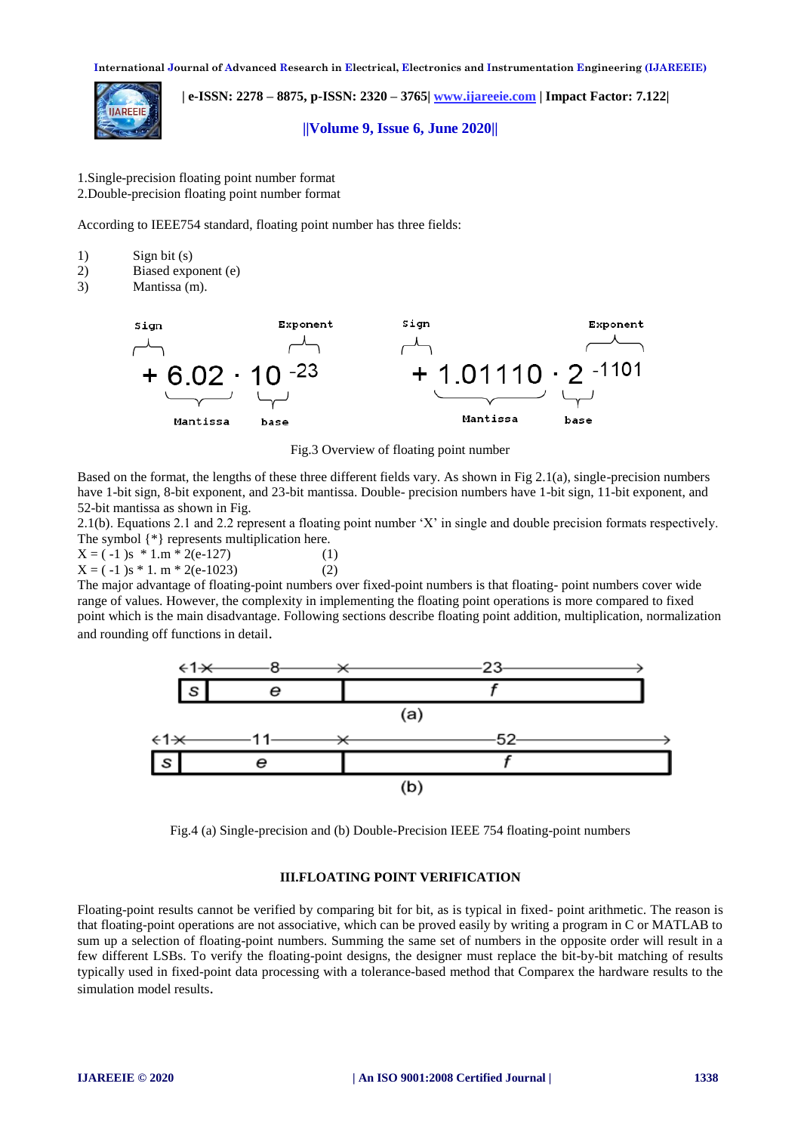

 **| e-ISSN: 2278 – 8875, p-ISSN: 2320 – 3765[| www.ijareeie.com](http://www.ijareeie.com/) | Impact Factor: 7.122|** 

**||Volume 9, Issue 6, June 2020||** 

1.Single-precision floating point number format 2.Double-precision floating point number format

According to IEEE754 standard, floating point number has three fields:

- 1) Sign bit (s)
- 2) Biased exponent (e)
- 3) Mantissa (m).



Fig.3 Overview of floating point number

Based on the format, the lengths of these three different fields vary. As shown in Fig 2.1(a), single-precision numbers have 1-bit sign, 8-bit exponent, and 23-bit mantissa. Double- precision numbers have 1-bit sign, 11-bit exponent, and 52-bit mantissa as shown in Fig.

2.1(b). Equations 2.1 and 2.2 represent a floating point number 'X' in single and double precision formats respectively. The symbol {\*} represents multiplication here.

 $X = (-1)$ s \* 1.m \* 2(e-127) (1)  $X = (-1)$ s \* 1. m \* 2(e-1023) (2)

The major advantage of floating-point numbers over fixed-point numbers is that floating- point numbers cover wide range of values. However, the complexity in implementing the floating point operations is more compared to fixed point which is the main disadvantage. Following sections describe floating point addition, multiplication, normalization and rounding off functions in detail.



Fig.4 (a) Single-precision and (b) Double-Precision IEEE 754 floating-point numbers

#### **III.FLOATING POINT VERIFICATION**

Floating-point results cannot be verified by comparing bit for bit, as is typical in fixed- point arithmetic. The reason is that floating-point operations are not associative, which can be proved easily by writing a program in C or MATLAB to sum up a selection of floating-point numbers. Summing the same set of numbers in the opposite order will result in a few different LSBs. To verify the floating-point designs, the designer must replace the bit-by-bit matching of results typically used in fixed-point data processing with a tolerance-based method that Comparex the hardware results to the simulation model results.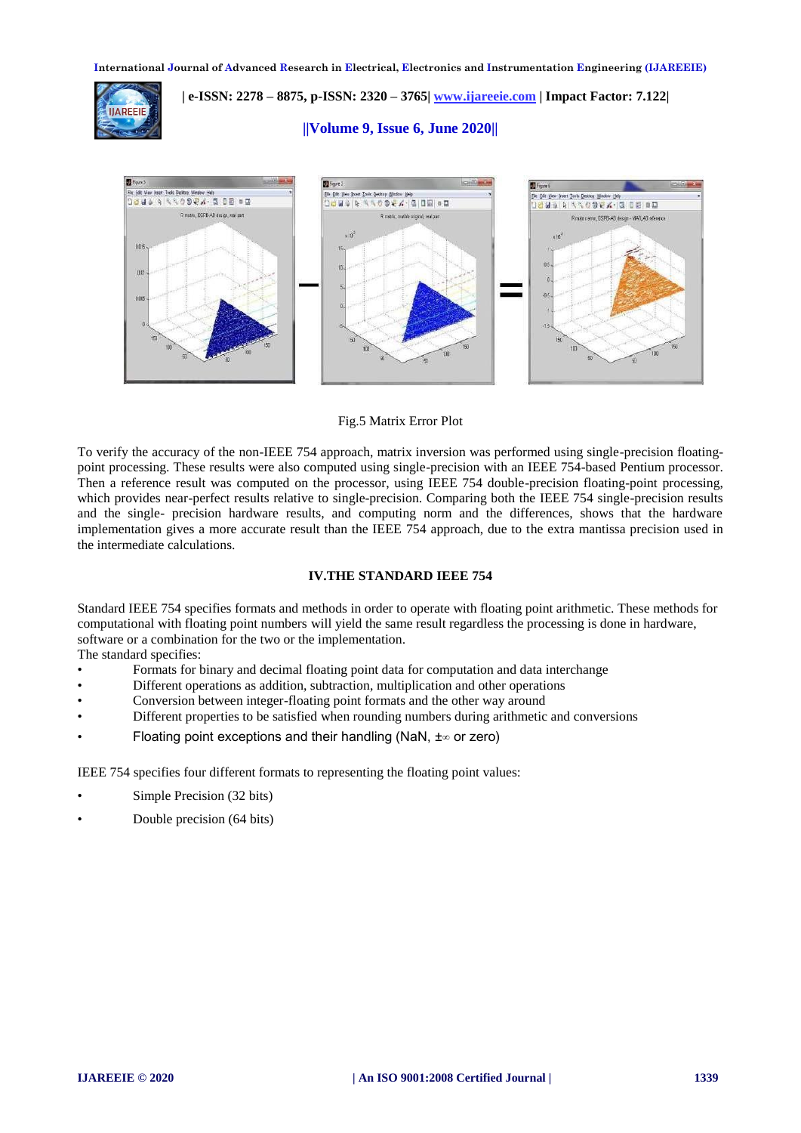

 **| e-ISSN: 2278 – 8875, p-ISSN: 2320 – 3765[| www.ijareeie.com](http://www.ijareeie.com/) | Impact Factor: 7.122|** 

**||Volume 9, Issue 6, June 2020||** 



Fig.5 Matrix Error Plot

To verify the accuracy of the non-IEEE 754 approach, matrix inversion was performed using single-precision floatingpoint processing. These results were also computed using single-precision with an IEEE 754-based Pentium processor. Then a reference result was computed on the processor, using IEEE 754 double-precision floating-point processing, which provides near-perfect results relative to single-precision. Comparing both the IEEE 754 single-precision results and the single- precision hardware results, and computing norm and the differences, shows that the hardware implementation gives a more accurate result than the IEEE 754 approach, due to the extra mantissa precision used in the intermediate calculations.

# **IV.THE STANDARD IEEE 754**

Standard IEEE 754 specifies formats and methods in order to operate with floating point arithmetic. These methods for computational with floating point numbers will yield the same result regardless the processing is done in hardware, software or a combination for the two or the implementation.

The standard specifies:

- Formats for binary and decimal floating point data for computation and data interchange
- Different operations as addition, subtraction, multiplication and other operations
- Conversion between integer-floating point formats and the other way around
- Different properties to be satisfied when rounding numbers during arithmetic and conversions
- Floating point exceptions and their handling (NaN, ±∞ or zero)

IEEE 754 specifies four different formats to representing the floating point values:

- Simple Precision (32 bits)
- Double precision (64 bits)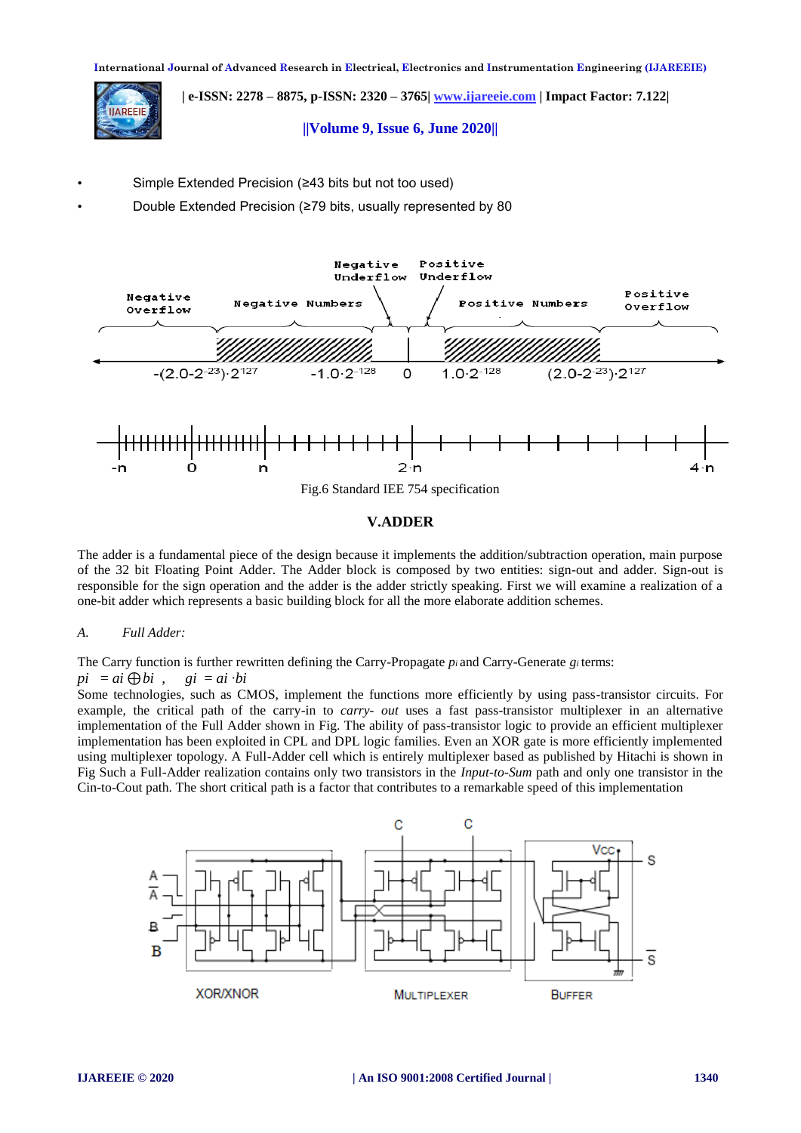**| e-ISSN: 2278 – 8875, p-ISSN: 2320 – 3765[| www.ijareeie.com](http://www.ijareeie.com/) | Impact Factor: 7.122|** 

# **||Volume 9, Issue 6, June 2020||**

- Simple Extended Precision (≥43 bits but not too used)
- Double Extended Precision (≥79 bits, usually represented by 80



# **V.ADDER**

The adder is a fundamental piece of the design because it implements the addition/subtraction operation, main purpose of the 32 bit Floating Point Adder. The Adder block is composed by two entities: sign-out and adder. Sign-out is responsible for the sign operation and the adder is the adder strictly speaking. First we will examine a realization of a one-bit adder which represents a basic building block for all the more elaborate addition schemes.

# *A. Full Adder:*

**ARFFII** 

The Carry function is further rewritten defining the Carry-Propagate *pi* and Carry-Generate *gi* terms:

 $pi = ai \bigoplus bi$ ,  $gi = ai \cdot bi$ 

Some technologies, such as CMOS, implement the functions more efficiently by using pass-transistor circuits. For example, the critical path of the carry-in to *carry- out* uses a fast pass-transistor multiplexer in an alternative implementation of the Full Adder shown in Fig. The ability of pass-transistor logic to provide an efficient multiplexer implementation has been exploited in CPL and DPL logic families. Even an XOR gate is more efficiently implemented using multiplexer topology. A Full-Adder cell which is entirely multiplexer based as published by Hitachi is shown in Fig Such a Full-Adder realization contains only two transistors in the *Input-to-Sum* path and only one transistor in the Cin-to-Cout path. The short critical path is a factor that contributes to a remarkable speed of this implementation

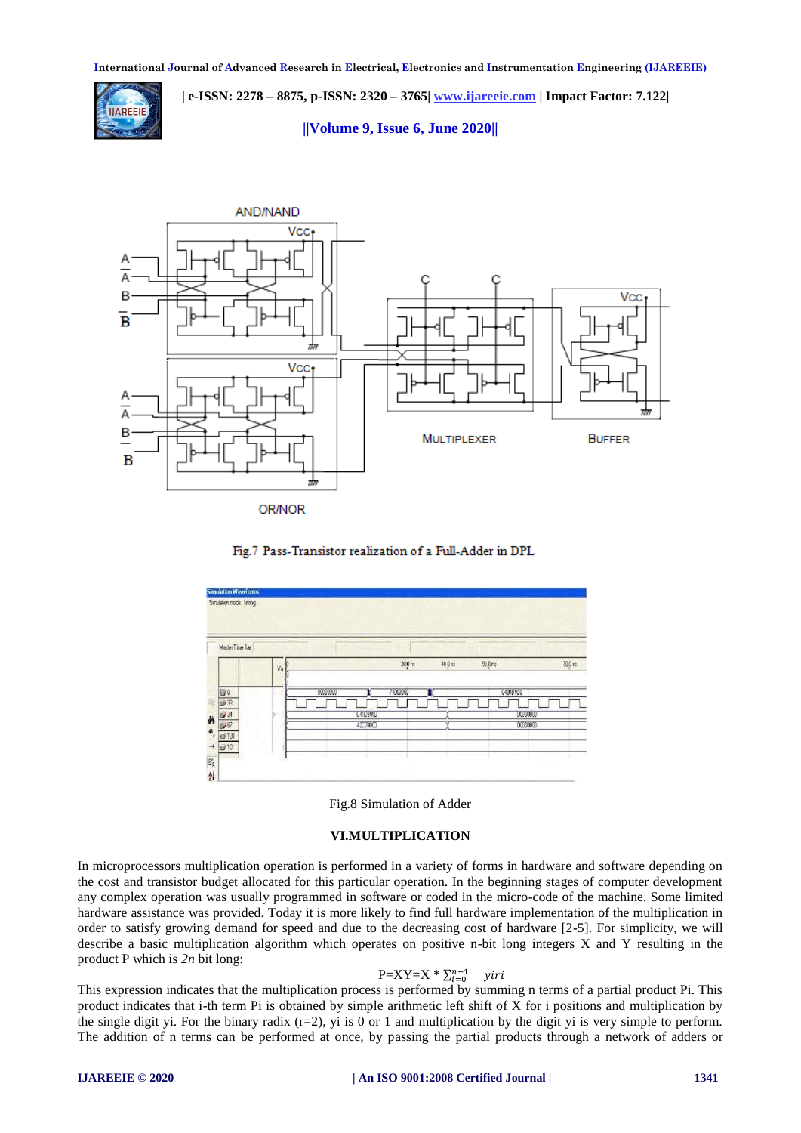

 **| e-ISSN: 2278 – 8875, p-ISSN: 2320 – 3765[| www.ijareeie.com](http://www.ijareeie.com/) | Impact Factor: 7.122|** 

**||Volume 9, Issue 6, June 2020||** 









## **VI.MULTIPLICATION**

In microprocessors multiplication operation is performed in a variety of forms in hardware and software depending on the cost and transistor budget allocated for this particular operation. In the beginning stages of computer development any complex operation was usually programmed in software or coded in the micro-code of the machine. Some limited hardware assistance was provided. Today it is more likely to find full hardware implementation of the multiplication in order to satisfy growing demand for speed and due to the decreasing cost of hardware [2-5]. For simplicity, we will describe a basic multiplication algorithm which operates on positive n-bit long integers X and Y resulting in the product P which is *2n* bit long:

# $P=XY=X^* \sum_i$

This expression indicates that the multiplication process is performed by summing n terms of a partial product Pi. This product indicates that i-th term Pi is obtained by simple arithmetic left shift of X for i positions and multiplication by the single digit yi. For the binary radix  $(r=2)$ , yi is 0 or 1 and multiplication by the digit yi is very simple to perform. The addition of n terms can be performed at once, by passing the partial products through a network of adders or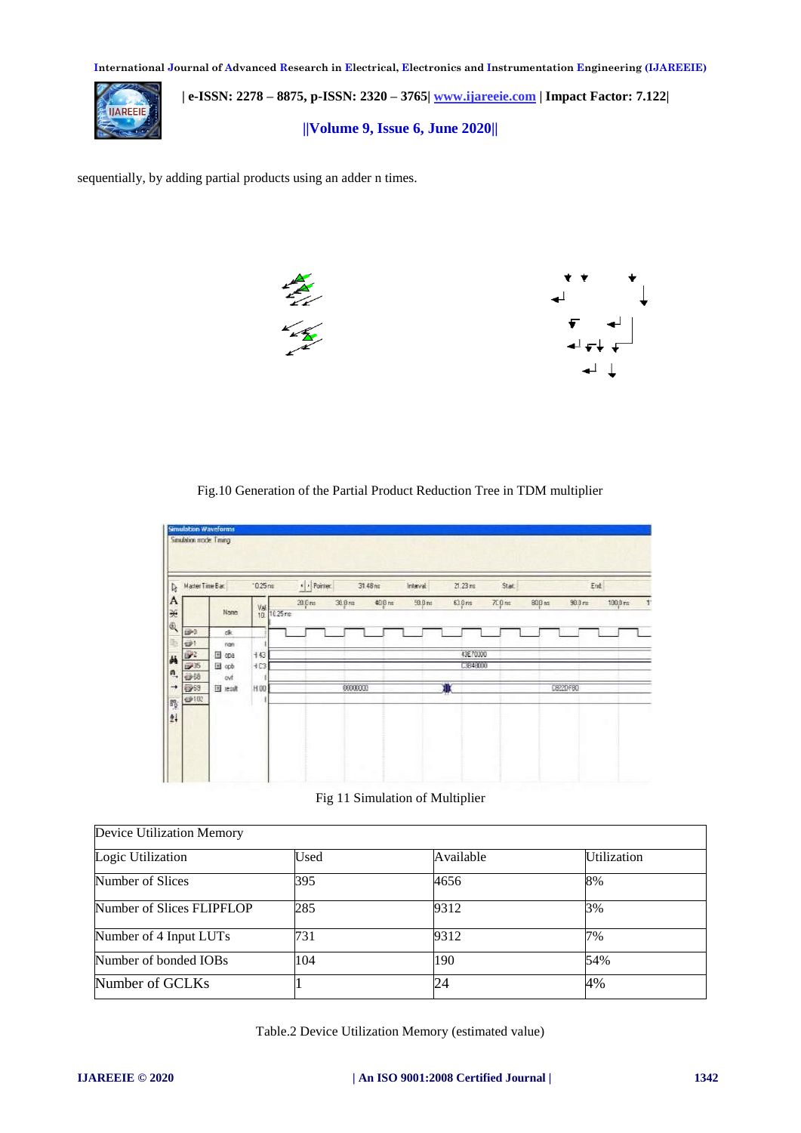

 **| e-ISSN: 2278 – 8875, p-ISSN: 2320 – 3765[| www.ijareeie.com](http://www.ijareeie.com/) | Impact Factor: 7.122| ||Volume 9, Issue 6, June 2020||** 

sequentially, by adding partial products using an adder n times.



Fig.10 Generation of the Partial Product Reduction Tree in TDM multiplier

|                      | Master Time Bar. | $0.25 \text{ m}$ | $\cdot$ > Pointer. |           | 31.48 mm | Interval | $21.23 \text{ ms}$ | Start     |       | Ent               |                     |
|----------------------|------------------|------------------|--------------------|-----------|----------|----------|--------------------|-----------|-------|-------------------|---------------------|
|                      | None             | $\frac{V}{10}$   | 20.0 m<br>10.25 rs | $30.0$ ru | 如Bm      | 500m     | 63.0 <sub>rs</sub> | $70.0$ mt | 830 m | $90.8 \text{ ms}$ | $100.0 \text{ rad}$ |
| E <sup>0</sup>       | ck.              |                  |                    |           |          |          |                    |           |       |                   |                     |
| $\Rightarrow$<br>üΡ. | ran<br>Ed opa    | $+43$            |                    |           |          |          | 43670000           |           |       |                   |                     |
| 19 万                 | Ed opb           | $+C3$            |                    |           |          |          | C3848000           |           |       |                   |                     |
| ●18                  | evt              |                  |                    |           |          |          |                    |           |       |                   |                     |
| 5963                 | [#] result       | H 00             |                    | 00000000  |          |          | R).                |           |       | C8220F80          |                     |
| 49102                |                  |                  |                    |           |          |          |                    |           |       |                   |                     |

Fig 11 Simulation of Multiplier

| Device Utilization Memory |      |           |                    |
|---------------------------|------|-----------|--------------------|
| Logic Utilization         | Used | Available | <b>Utilization</b> |
| Number of Slices          | 395  | 4656      | 8%                 |
| Number of Slices FLIPFLOP | 285  | 9312      | 3%                 |
| Number of 4 Input LUTs    | 731  | 9312      | 7%                 |
| Number of bonded IOBs     | 104  | 190       | 54%                |
| Number of GCLKs           |      | 24        | 4%                 |

Table.2 Device Utilization Memory (estimated value)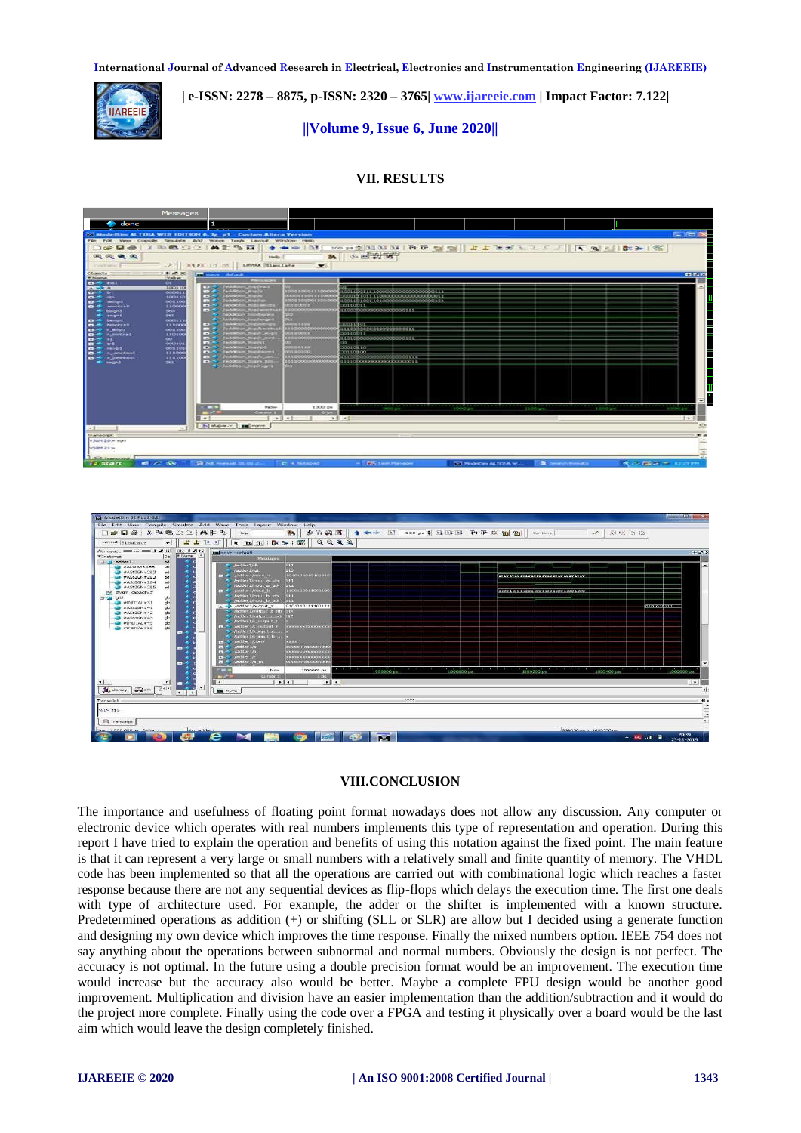

 **| e-ISSN: 2278 – 8875, p-ISSN: 2320 – 3765[| www.ijareeie.com](http://www.ijareeie.com/) | Impact Factor: 7.122|** 

# **||Volume 9, Issue 6, June 2020||**

# **VII. RESULTS**





# **VIII.CONCLUSION**

The importance and usefulness of floating point format nowadays does not allow any discussion. Any computer or electronic device which operates with real numbers implements this type of representation and operation. During this report I have tried to explain the operation and benefits of using this notation against the fixed point. The main feature is that it can represent a very large or small numbers with a relatively small and finite quantity of memory. The VHDL code has been implemented so that all the operations are carried out with combinational logic which reaches a faster response because there are not any sequential devices as flip-flops which delays the execution time. The first one deals with type of architecture used. For example, the adder or the shifter is implemented with a known structure. Predetermined operations as addition (+) or shifting (SLL or SLR) are allow but I decided using a generate function and designing my own device which improves the time response. Finally the mixed numbers option. IEEE 754 does not say anything about the operations between subnormal and normal numbers. Obviously the design is not perfect. The accuracy is not optimal. In the future using a double precision format would be an improvement. The execution time would increase but the accuracy also would be better. Maybe a complete FPU design would be another good improvement. Multiplication and division have an easier implementation than the addition/subtraction and it would do the project more complete. Finally using the code over a FPGA and testing it physically over a board would be the last aim which would leave the design completely finished.